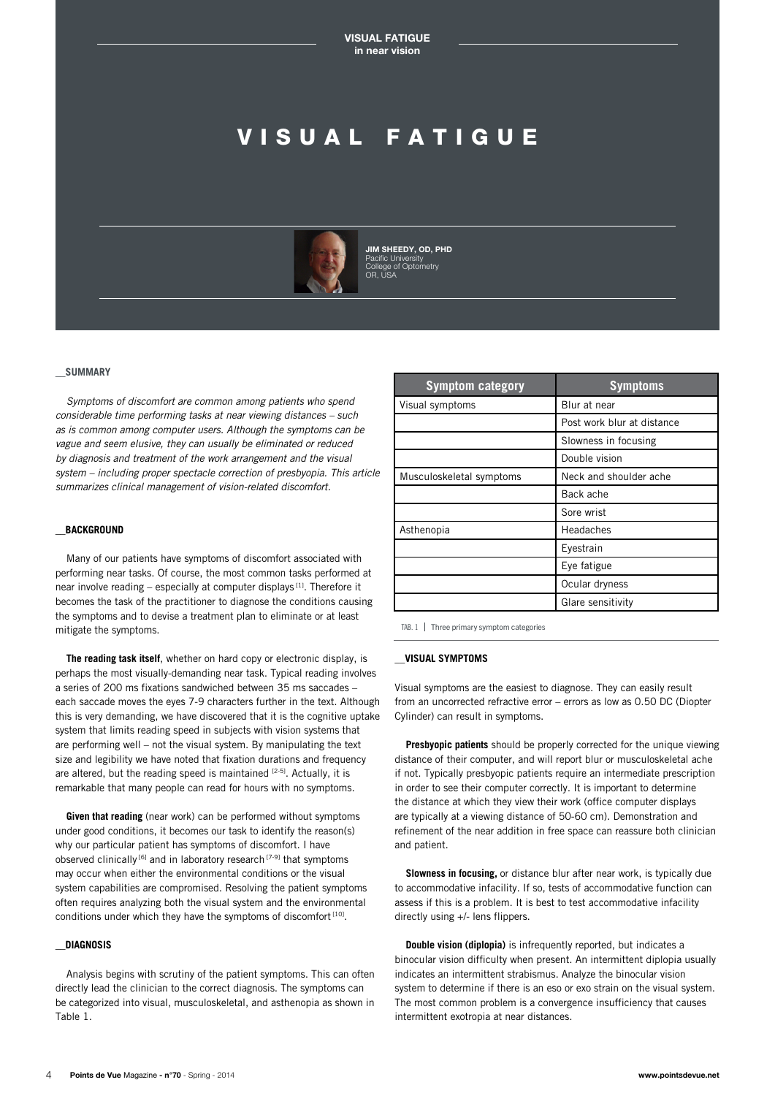# VISUAL FATIGUE



JIM SHEEDY, OD, PHD Pacific University College of Optometry OR, USA

#### **\_\_SUMMARY**

*Symptoms of discomfort are common among patients who spend considerable time performing tasks at near viewing distances – such as is common among computer users. Although the symptoms can be vague and seem elusive, they can usually be eliminated or reduced by diagnosis and treatment of the work arrangement and the visual system – including proper spectacle correction of presbyopia. This article summarizes clinical management of vision-related discomfort.*

#### **\_\_BACKGROUND**

Many of our patients have symptoms of discomfort associated with performing near tasks. Of course, the most common tasks performed at near involve reading - especially at computer displays<sup>[1]</sup>. Therefore it becomes the task of the practitioner to diagnose the conditions causing the symptoms and to devise a treatment plan to eliminate or at least mitigate the symptoms.

**The reading task itself**, whether on hard copy or electronic display, is perhaps the most visually-demanding near task. Typical reading involves a series of 200 ms fixations sandwiched between 35 ms saccades – each saccade moves the eyes 7-9 characters further in the text. Although this is very demanding, we have discovered that it is the cognitive uptake system that limits reading speed in subjects with vision systems that are performing well – not the visual system. By manipulating the text size and legibility we have noted that fixation durations and frequency are altered, but the reading speed is maintained  $[2-5]$ . Actually, it is remarkable that many people can read for hours with no symptoms.

**Given that reading** (near work) can be performed without symptoms under good conditions, it becomes our task to identify the reason(s) why our particular patient has symptoms of discomfort. I have observed clinically <sup>[6]</sup> and in laboratory research  $[7-9]$  that symptoms may occur when either the environmental conditions or the visual system capabilities are compromised. Resolving the patient symptoms often requires analyzing both the visual system and the environmental conditions under which they have the symptoms of discomfort<sup>[10]</sup>.

# **\_\_DIAGNOSIS**

Analysis begins with scrutiny of the patient symptoms. This can often directly lead the clinician to the correct diagnosis. The symptoms can be categorized into visual, musculoskeletal, and asthenopia as shown in Table 1.

| <b>Symptom category</b>  | <b>Symptoms</b>            |  |
|--------------------------|----------------------------|--|
| Visual symptoms          | Blur at near               |  |
|                          | Post work blur at distance |  |
|                          | Slowness in focusing       |  |
|                          | Double vision              |  |
| Musculoskeletal symptoms | Neck and shoulder ache     |  |
|                          | Back ache                  |  |
|                          | Sore wrist                 |  |
| Asthenopia               | Headaches                  |  |
|                          | Eyestrain                  |  |
|                          | Eye fatigue                |  |
|                          | Ocular dryness             |  |
|                          | Glare sensitivity          |  |

TAB. 1 | Three primary symptom categories

#### **\_\_VISUAL SYMPTOMS**

Visual symptoms are the easiest to diagnose. They can easily result from an uncorrected refractive error – errors as low as 0.50 DC (Diopter Cylinder) can result in symptoms.

**Presbyopic patients** should be properly corrected for the unique viewing distance of their computer, and will report blur or musculoskeletal ache if not. Typically presbyopic patients require an intermediate prescription in order to see their computer correctly. It is important to determine the distance at which they view their work (office computer displays are typically at a viewing distance of 50-60 cm). Demonstration and refinement of the near addition in free space can reassure both clinician and patient.

**Slowness in focusing,** or distance blur after near work, is typically due to accommodative infacility. If so, tests of accommodative function can assess if this is a problem. It is best to test accommodative infacility directly using +/- lens flippers.

**Double vision (diplopia)** is infrequently reported, but indicates a binocular vision difficulty when present. An intermittent diplopia usually indicates an intermittent strabismus. Analyze the binocular vision system to determine if there is an eso or exo strain on the visual system. The most common problem is a convergence insufficiency that causes intermittent exotropia at near distances.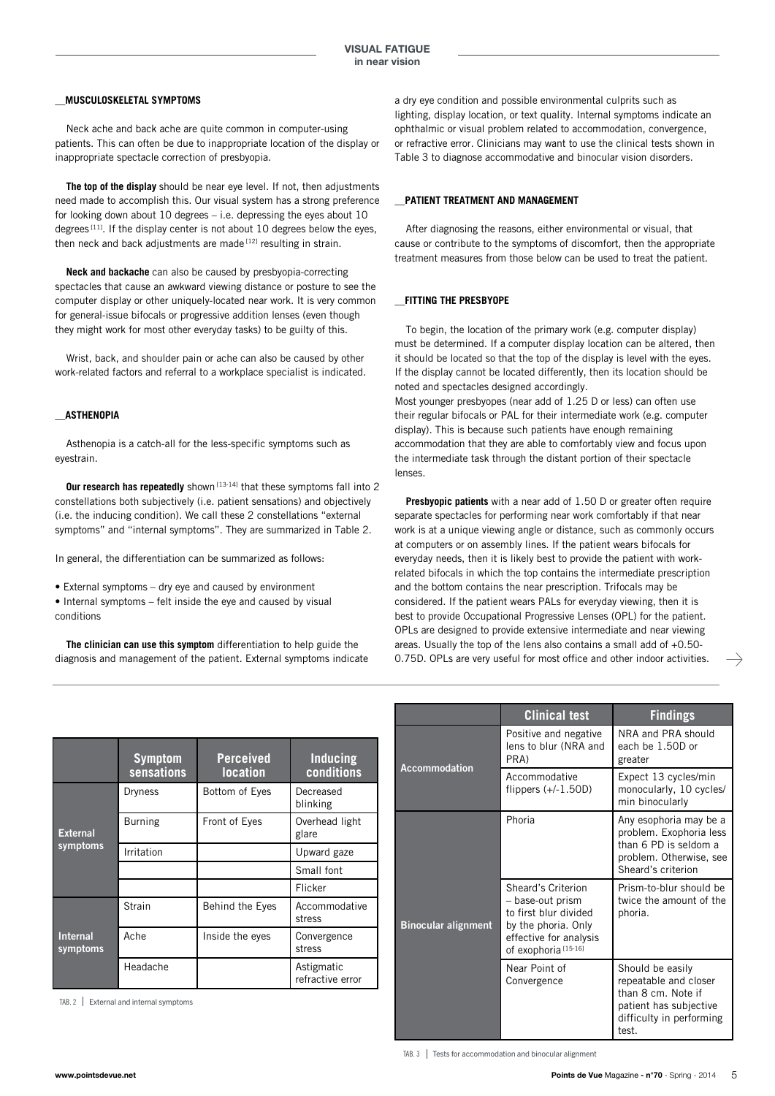### **\_\_MUSCULOSKELETAL SYMPTOMS**

Neck ache and back ache are quite common in computer-using patients. This can often be due to inappropriate location of the display or inappropriate spectacle correction of presbyopia.

**The top of the display** should be near eye level. If not, then adjustments need made to accomplish this. Our visual system has a strong preference for looking down about 10 degrees – i.e. depressing the eyes about 10 degrees  $[11]$ . If the display center is not about 10 degrees below the eyes, then neck and back adjustments are made<sup>[12]</sup> resulting in strain.

**Neck and backache** can also be caused by presbyopia-correcting spectacles that cause an awkward viewing distance or posture to see the computer display or other uniquely-located near work. It is very common for general-issue bifocals or progressive addition lenses (even though they might work for most other everyday tasks) to be guilty of this.

Wrist, back, and shoulder pain or ache can also be caused by other work-related factors and referral to a workplace specialist is indicated.

#### **\_\_ASTHENOPIA**

Asthenopia is a catch-all for the less-specific symptoms such as eyestrain.

**Our research has repeatedly** shown [13-14] that these symptoms fall into 2 constellations both subjectively (i.e. patient sensations) and objectively (i.e. the inducing condition). We call these 2 constellations "external symptoms" and "internal symptoms". They are summarized in Table 2.

In general, the differentiation can be summarized as follows:

• External symptoms – dry eye and caused by environment

• Internal symptoms – felt inside the eye and caused by visual conditions

**The clinician can use this symptom** differentiation to help guide the diagnosis and management of the patient. External symptoms indicate a dry eye condition and possible environmental culprits such as lighting, display location, or text quality. Internal symptoms indicate an ophthalmic or visual problem related to accommodation, convergence, or refractive error. Clinicians may want to use the clinical tests shown in Table 3 to diagnose accommodative and binocular vision disorders.

#### **\_\_PATIENT TREATMENT AND MANAGEMENT**

After diagnosing the reasons, either environmental or visual, that cause or contribute to the symptoms of discomfort, then the appropriate treatment measures from those below can be used to treat the patient.

## **\_\_FITTING THE PRESBYOPE**

To begin, the location of the primary work (e.g. computer display) must be determined. If a computer display location can be altered, then it should be located so that the top of the display is level with the eyes. If the display cannot be located differently, then its location should be noted and spectacles designed accordingly. Most younger presbyopes (near add of 1.25 D or less) can often use their regular bifocals or PAL for their intermediate work (e.g. computer display). This is because such patients have enough remaining accommodation that they are able to comfortably view and focus upon the intermediate task through the distant portion of their spectacle lenses.

**Presbyopic patients** with a near add of 1.50 D or greater often require separate spectacles for performing near work comfortably if that near work is at a unique viewing angle or distance, such as commonly occurs at computers or on assembly lines. If the patient wears bifocals for everyday needs, then it is likely best to provide the patient with workrelated bifocals in which the top contains the intermediate prescription and the bottom contains the near prescription. Trifocals may be considered. If the patient wears PALs for everyday viewing, then it is best to provide Occupational Progressive Lenses (OPL) for the patient. OPLs are designed to provide extensive intermediate and near viewing areas. Usually the top of the lens also contains a small add of +0.50- 0.75D. OPLs are very useful for most office and other indoor activities.

|                             | <b>Symptom</b><br>sensations | <b>Perceived</b><br><b>location</b> | <b>Inducing</b><br>conditions  |
|-----------------------------|------------------------------|-------------------------------------|--------------------------------|
| <b>External</b><br>symptoms | Dryness                      | Bottom of Eyes                      | Decreased<br>blinking          |
|                             | <b>Burning</b>               | Front of Eyes                       | Overhead light<br>glare        |
|                             | Irritation                   |                                     | Upward gaze                    |
|                             |                              |                                     | Small font                     |
|                             |                              |                                     | Flicker                        |
| Internal<br>symptoms        | Strain                       | Behind the Eyes                     | Accommodative<br>stress        |
|                             | Ache                         | Inside the eyes                     | Convergence<br>stress          |
|                             | Headache                     |                                     | Astigmatic<br>refractive error |

TAB. 2 External and internal symptoms

|                            | <b>Clinical test</b>                                                                                                                                | <b>Findings</b>                                                                                                                |
|----------------------------|-----------------------------------------------------------------------------------------------------------------------------------------------------|--------------------------------------------------------------------------------------------------------------------------------|
| <b>Accommodation</b>       | Positive and negative<br>lens to blur (NRA and<br>PRA)                                                                                              | NRA and PRA should<br>each be 1.50D or<br>greater                                                                              |
|                            | Accommodative<br>flippers $(+/-1.50D)$                                                                                                              | Expect 13 cycles/min<br>monocularly, 10 cycles/<br>min binocularly                                                             |
| <b>Binocular alignment</b> | Phoria                                                                                                                                              | Any esophoria may be a<br>problem. Exophoria less<br>than 6 PD is seldom a<br>problem. Otherwise, see<br>Sheard's criterion    |
|                            | Sheard's Criterion<br>- base-out prism<br>to first blur divided<br>by the phoria. Only<br>effective for analysis<br>of exophoria <sup>[15-16]</sup> | Prism-to-blur should be<br>twice the amount of the<br>phoria.                                                                  |
|                            | Near Point of<br>Convergence                                                                                                                        | Should be easily<br>repeatable and closer<br>than 8 cm. Note if<br>patient has subjective<br>difficulty in performing<br>test. |

TAB 3 Tests for accommodation and binocular alignment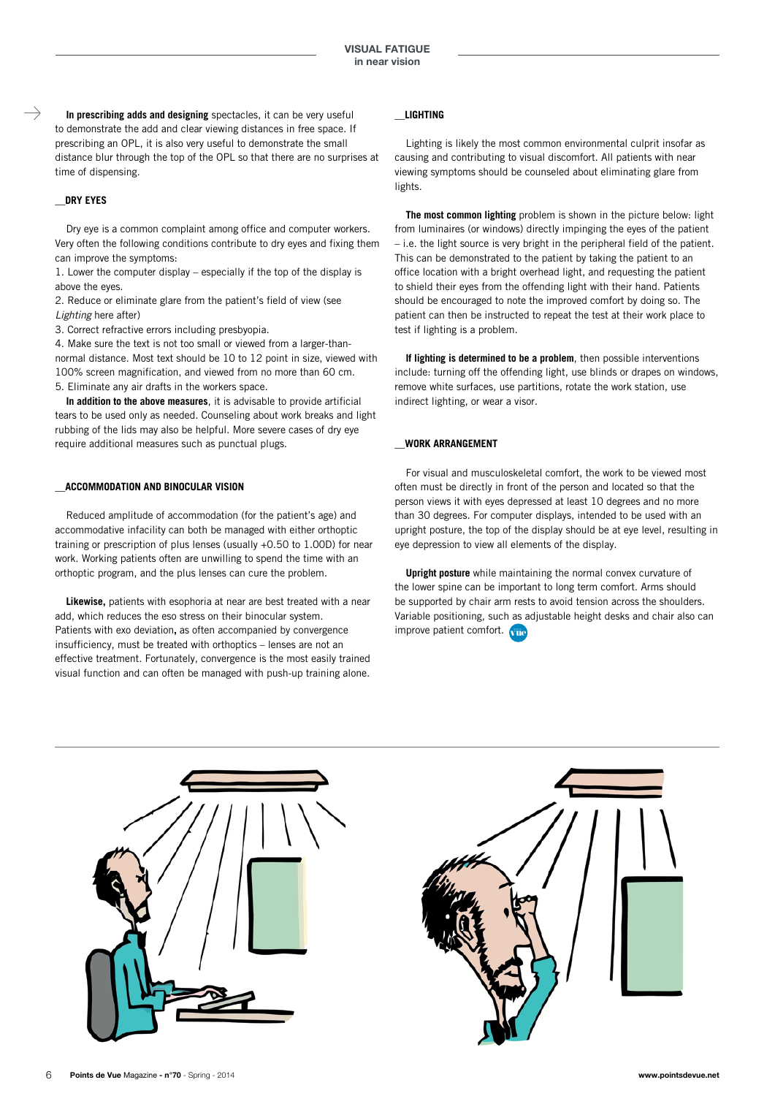**In prescribing adds and designing** spectacles, it can be very useful to demonstrate the add and clear viewing distances in free space. If prescribing an OPL, it is also very useful to demonstrate the small distance blur through the top of the OPL so that there are no surprises at time of dispensing.

#### **\_\_DRY EYES**

Dry eye is a common complaint among office and computer workers. Very often the following conditions contribute to dry eyes and fixing them can improve the symptoms:

1. Lower the computer display – especially if the top of the display is above the eyes.

2. Reduce or eliminate glare from the patient's field of view (see *Lighting* here after)

3. Correct refractive errors including presbyopia.

4. Make sure the text is not too small or viewed from a larger-thannormal distance. Most text should be 10 to 12 point in size, viewed with 100% screen magnification, and viewed from no more than 60 cm. 5. Eliminate any air drafts in the workers space.

**In addition to the above measures**, it is advisable to provide artificial tears to be used only as needed. Counseling about work breaks and light rubbing of the lids may also be helpful. More severe cases of dry eye require additional measures such as punctual plugs.

#### **\_\_ACCOMMODATION AND BINOCULAR VISION**

Reduced amplitude of accommodation (for the patient's age) and accommodative infacility can both be managed with either orthoptic training or prescription of plus lenses (usually +0.50 to 1.00D) for near work. Working patients often are unwilling to spend the time with an orthoptic program, and the plus lenses can cure the problem.

**Likewise,** patients with esophoria at near are best treated with a near add, which reduces the eso stress on their binocular system. Patients with exo deviation**,** as often accompanied by convergence insufficiency, must be treated with orthoptics – lenses are not an effective treatment. Fortunately, convergence is the most easily trained visual function and can often be managed with push-up training alone.

# **\_\_LIGHTING**

Lighting is likely the most common environmental culprit insofar as causing and contributing to visual discomfort. All patients with near viewing symptoms should be counseled about eliminating glare from lights.

**The most common lighting** problem is shown in the picture below: light from luminaires (or windows) directly impinging the eyes of the patient – i.e. the light source is very bright in the peripheral field of the patient. This can be demonstrated to the patient by taking the patient to an office location with a bright overhead light, and requesting the patient to shield their eyes from the offending light with their hand. Patients should be encouraged to note the improved comfort by doing so. The patient can then be instructed to repeat the test at their work place to test if lighting is a problem.

**If lighting is determined to be a problem**, then possible interventions include: turning off the offending light, use blinds or drapes on windows, remove white surfaces, use partitions, rotate the work station, use indirect lighting, or wear a visor.

#### **\_\_WORK ARRANGEMENT**

For visual and musculoskeletal comfort, the work to be viewed most often must be directly in front of the person and located so that the person views it with eyes depressed at least 10 degrees and no more than 30 degrees. For computer displays, intended to be used with an upright posture, the top of the display should be at eye level, resulting in eye depression to view all elements of the display.

**Upright posture** while maintaining the normal convex curvature of the lower spine can be important to long term comfort. Arms should be supported by chair arm rests to avoid tension across the shoulders. Variable positioning, such as adjustable height desks and chair also can improve patient comfort.